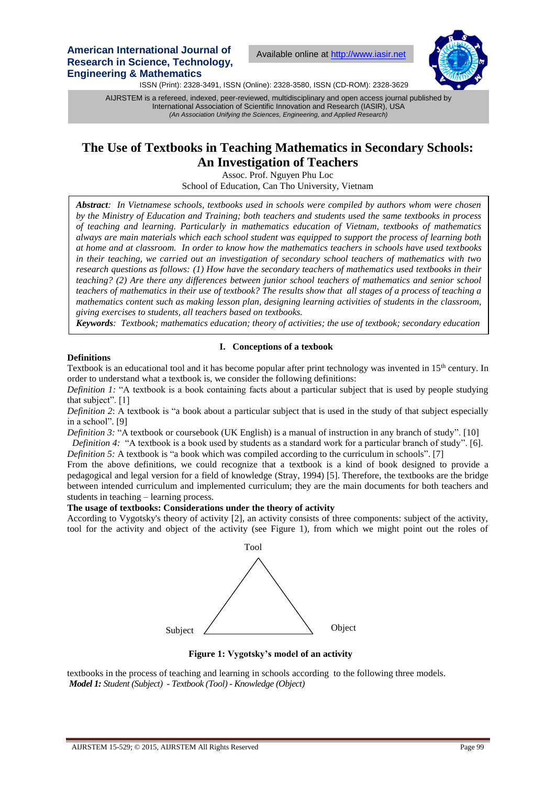**American International Journal of Research in Science, Technology, Engineering & Mathematics**

Available online a[t http://www.iasir.net](http://www.iasir.net/)



ISSN (Print): 2328-3491, ISSN (Online): 2328-3580, ISSN (CD-ROM): 2328-3629

 International Association of Scientific Innovation and Research (IASIR), USA AIJRSTEM is a refereed, indexed, peer-reviewed, multidisciplinary and open access journal published by *(An Association Unifying the Sciences, Engineering, and Applied Research)*

# **The Use of Textbooks in Teaching Mathematics in Secondary Schools: An Investigation of Teachers**

Assoc. Prof. Nguyen Phu Loc School of Education, Can Tho University, Vietnam

*Abstract: In Vietnamese schools, textbooks used in schools were compiled by authors whom were chosen by the Ministry of Education and Training; both teachers and students used the same textbooks in process of teaching and learning. Particularly in mathematics education of Vietnam, textbooks of mathematics always are main materials which each school student was equipped to support the process of learning both at home and at classroom. In order to know how the mathematics teachers in schools have used textbooks in their teaching, we carried out an investigation of secondary school teachers of mathematics with two research questions as follows: (1) How have the secondary teachers of mathematics used textbooks in their teaching? (2) Are there any differences between junior school teachers of mathematics and senior school teachers of mathematics in their use of textbook? The results show that all stages of a process of teaching a mathematics content such as making lesson plan, designing learning activities of students in the classroom, giving exercises to students, all teachers based on textbooks.*

*Keywords: Textbook; mathematics education; theory of activities; the use of textbook; secondary education*

## **I. Conceptions of a texbook**

**Definitions**

Textbook is an educational tool and it has become popular after print technology was invented in 15<sup>th</sup> century. In order to understand what a textbook is, we consider the following definitions:

*Definition 1:* "A textbook is a book containing facts about a particular subject that is used by people studying that subject". [1]

*Definition 2*: A textbook is "a book about a particular subject that is used in the study of that subject especially in a school". [9]

*Definition 3:* "A textbook or coursebook (UK English) is a manual of instruction in any branch of study". [10] *Definition 4:* "A textbook is a book used by students as a standard work for a particular branch of study". [6].

*Definition 5:* A textbook is "a book which was compiled according to the curriculum in schools". [7]

From the above definitions, we could recognize that a textbook is a kind of book designed to provide a pedagogical and legal version for a field of knowledge (Stray, 1994) [5]. Therefore, the textbooks are the bridge between intended curriculum and implemented curriculum; they are the main documents for both teachers and students in teaching – learning process.

## **The usage of textbooks: Considerations under the theory of activity**

According to Vygotsky's theory of activity [2], an activity consists of three components: subject of the activity, tool for the activity and object of the activity (see Figure 1), from which we might point out the roles of



**Figure 1: Vygotsky's model of an activity**

textbooks in the process of teaching and learning in schools according to the following three models. *Model 1: Student (Subject) - Textbook (Tool) - Knowledge (Object)*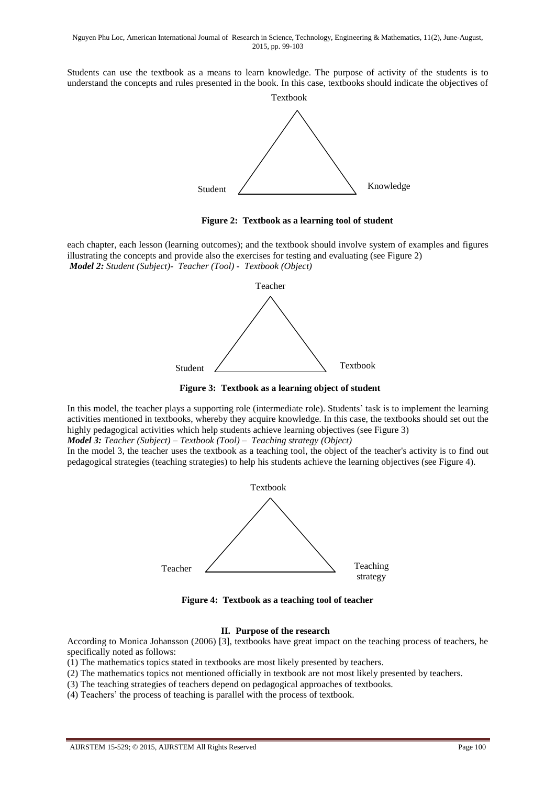Students can use the textbook as a means to learn knowledge. The purpose of activity of the students is to understand the concepts and rules presented in the book. In this case, textbooks should indicate the objectives of



**Figure 2: Textbook as a learning tool of student**

each chapter, each lesson (learning outcomes); and the textbook should involve system of examples and figures illustrating the concepts and provide also the exercises for testing and evaluating (see Figure 2) *Model 2: Student (Subject)- Teacher (Tool) - Textbook (Object)* 



**Figure 3: Textbook as a learning object of student**

In this model, the teacher plays a supporting role (intermediate role). Students' task is to implement the learning activities mentioned in textbooks, whereby they acquire knowledge. In this case, the textbooks should set out the highly pedagogical activities which help students achieve learning objectives (see Figure 3)

*Model 3: Teacher (Subject) – Textbook (Tool) – Teaching strategy (Object)*

In the model 3, the teacher uses the textbook as a teaching tool, the object of the teacher's activity is to find out pedagogical strategies (teaching strategies) to help his students achieve the learning objectives (see Figure 4).



**Figure 4: Textbook as a teaching tool of teacher**

## **II. Purpose of the research**

According to Monica Johansson (2006) [3], textbooks have great impact on the teaching process of teachers, he specifically noted as follows:

(1) The mathematics topics stated in textbooks are most likely presented by teachers.

(2) The mathematics topics not mentioned officially in textbook are not most likely presented by teachers.

(3) The teaching strategies of teachers depend on pedagogical approaches of textbooks.

(4) Teachers' the process of teaching is parallel with the process of textbook.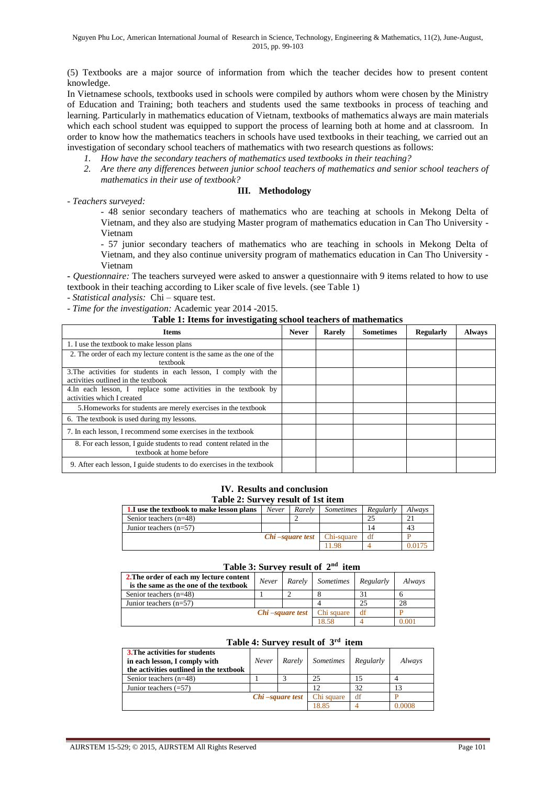(5) Textbooks are a major source of information from which the teacher decides how to present content knowledge.

In Vietnamese schools, textbooks used in schools were compiled by authors whom were chosen by the Ministry of Education and Training; both teachers and students used the same textbooks in process of teaching and learning. Particularly in mathematics education of Vietnam, textbooks of mathematics always are main materials which each school student was equipped to support the process of learning both at home and at classroom. In order to know how the mathematics teachers in schools have used textbooks in their teaching, we carried out an investigation of secondary school teachers of mathematics with two research questions as follows:

- *1. How have the secondary teachers of mathematics used textbooks in their teaching?*
- *2. Are there any differences between junior school teachers of mathematics and senior school teachers of mathematics in their use of textbook?*

## **III. Methodology**

*- Teachers surveyed:*

- 48 senior secondary teachers of mathematics who are teaching at schools in Mekong Delta of Vietnam, and they also are studying Master program of mathematics education in Can Tho University - Vietnam

- 57 junior secondary teachers of mathematics who are teaching in schools in Mekong Delta of Vietnam, and they also continue university program of mathematics education in Can Tho University - Vietnam

**-** *Questionnaire:* The teachers surveyed were asked to answer a questionnaire with 9 items related to how to use textbook in their teaching according to Liker scale of five levels. (see Table 1)

- *Statistical analysis:* Chi – square test.

## - *Time for the investigation:* Academic year 2014 -2015.

## **Table 1: Items for investigating school teachers of mathematics**

| <b>Items</b>                                                                                            | <b>Never</b> | <b>Rarely</b> | <b>Sometimes</b> | <b>Regularly</b> | <b>Always</b> |
|---------------------------------------------------------------------------------------------------------|--------------|---------------|------------------|------------------|---------------|
| 1. I use the textbook to make lesson plans                                                              |              |               |                  |                  |               |
| 2. The order of each my lecture content is the same as the one of the<br>textbook                       |              |               |                  |                  |               |
| 3. The activities for students in each lesson, I comply with the<br>activities outlined in the textbook |              |               |                  |                  |               |
| 4. In each lesson, I replace some activities in the textbook by<br>activities which I created           |              |               |                  |                  |               |
| 5. Homeworks for students are merely exercises in the textbook                                          |              |               |                  |                  |               |
| 6. The textbook is used during my lessons.                                                              |              |               |                  |                  |               |
| 7. In each lesson, I recommend some exercises in the textbook                                           |              |               |                  |                  |               |
| 8. For each lesson, I guide students to read content related in the<br>textbook at home before          |              |               |                  |                  |               |
| 9. After each lesson, I guide students to do exercises in the textbook                                  |              |               |                  |                  |               |

## **IV. Results and conclusion Table 2: Survey result of 1st item**

| 1. I use the textbook to make lesson plans | Never           | Rarely | <i>Sometimes</i> | Regularly | Always |  |  |  |
|--------------------------------------------|-----------------|--------|------------------|-----------|--------|--|--|--|
| Senior teachers $(n=48)$                   |                 |        |                  |           |        |  |  |  |
| Junior teachers $(n=57)$                   |                 |        |                  |           | -43    |  |  |  |
|                                            | Chi-square test |        | Chi-square       | đt        |        |  |  |  |
|                                            |                 |        | 198              |           |        |  |  |  |

## **Table 3: Survey result of 2nd item**

| 2. The order of each my lecture content<br>is the same as the one of the textbook | Never           | Rarely | <i>Sometimes</i> | Regularly | Always |  |  |  |
|-----------------------------------------------------------------------------------|-----------------|--------|------------------|-----------|--------|--|--|--|
| Senior teachers $(n=48)$                                                          |                 |        |                  |           |        |  |  |  |
| Junior teachers $(n=57)$                                                          |                 |        |                  | 25        | 28     |  |  |  |
|                                                                                   | Chi-square test |        | Chi square       | df        |        |  |  |  |
|                                                                                   |                 |        | 18.58            |           | 0.001  |  |  |  |

| Table 4: Survey result of 3 <sup>th</sup> item |                    |  |                            |    |        |  |  |
|------------------------------------------------|--------------------|--|----------------------------|----|--------|--|--|
| <b>3. The activities for students</b>          |                    |  |                            |    |        |  |  |
| in each lesson, I comply with                  | Never              |  | Rarely Sometimes Regularly |    | Always |  |  |
| the activities outlined in the textbook        |                    |  |                            |    |        |  |  |
| Senior teachers $(n=48)$                       |                    |  | 25                         |    |        |  |  |
| Junior teachers $(=57)$                        |                    |  |                            | 32 | 13     |  |  |
|                                                | $Chi$ –square test |  | Chi square                 | df |        |  |  |
|                                                |                    |  | 18.85                      |    |        |  |  |

#### **Table 4: Survey result of 3rd item**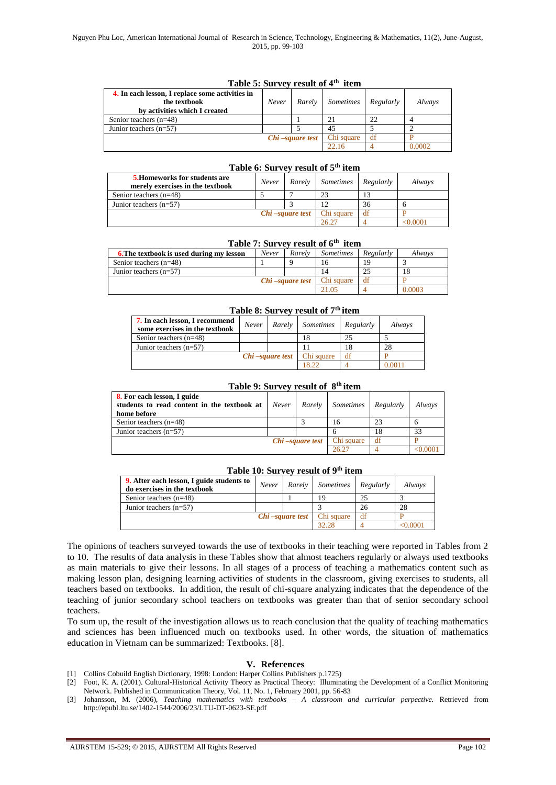| $1$ avec $3.5$ un vever suite $0.4$ and $0.1$   |                 |        |                  |           |        |  |  |
|-------------------------------------------------|-----------------|--------|------------------|-----------|--------|--|--|
| 4. In each lesson, I replace some activities in |                 |        |                  |           |        |  |  |
| the textbook                                    | Never           | Rarely | <i>Sometimes</i> | Regularly | Always |  |  |
| by activities which I created                   |                 |        |                  |           |        |  |  |
| Senior teachers $(n=48)$                        |                 |        |                  | 22        |        |  |  |
| Junior teachers $(n=57)$                        |                 |        | 45               |           |        |  |  |
|                                                 | Chi-square test |        | Chi square       | df        |        |  |  |
|                                                 |                 |        | 22.16            |           | 0.0002 |  |  |

## **Table 5: Survey result of 4th item**

## **Table 6: Survey result of 5th item**

| <b>5. Homeworks for students are</b><br>merely exercises in the textbook | Never | Rarely | <i>Sometimes</i> | Regularly | Always |
|--------------------------------------------------------------------------|-------|--------|------------------|-----------|--------|
| Senior teachers $(n=48)$                                                 |       |        |                  |           |        |
| Junior teachers $(n=57)$                                                 |       |        |                  | 36        |        |
| Chi-square test                                                          |       |        | Chi square       | df        |        |
|                                                                          |       |        | 26.27            |           | 0.0001 |

## **Table 7: Survey result of 6th item**

| <b>6. The textbook is used during my lesson</b> | Never           | Rarely | <i>Sometimes</i> | Regularly | Always |
|-------------------------------------------------|-----------------|--------|------------------|-----------|--------|
| Senior teachers $(n=48)$                        |                 |        |                  |           |        |
| Junior teachers $(n=57)$                        |                 |        |                  |           |        |
|                                                 | Chi-square test |        |                  | df        |        |
|                                                 |                 |        |                  |           | 0.0003 |

## **Table 8: Survey result of 7th item**

| 7. In each lesson, I recommend<br>some exercises in the textbook | Never                  | Rarely | <i>Sometimes</i> | Regularly | Always |
|------------------------------------------------------------------|------------------------|--------|------------------|-----------|--------|
| Senior teachers $(n=48)$                                         |                        |        |                  |           |        |
| Junior teachers $(n=57)$                                         |                        |        |                  |           | 28     |
|                                                                  | <i>Chi-square test</i> |        | Chi square       | df        |        |
|                                                                  |                        |        | 18.22            |           | 0.0011 |

| Table 9: Survey result of 8 <sup>th</sup> item                                            |       |                 |                  |           |          |  |  |
|-------------------------------------------------------------------------------------------|-------|-----------------|------------------|-----------|----------|--|--|
| 8. For each lesson, I guide<br>students to read content in the textbook at<br>home before | Never | Rarely          | <i>Sometimes</i> | Regularly | Always   |  |  |
| Senior teachers $(n=48)$                                                                  |       |                 | 16               | 23        |          |  |  |
| Junior teachers $(n=57)$                                                                  |       |                 |                  | 18        | 33       |  |  |
|                                                                                           |       | Chi-square test | Chi square       | df        |          |  |  |
|                                                                                           |       |                 | 26.27            |           | < 0.0001 |  |  |

## **Table 10: Survey result of 9th item**

| 9. After each lesson, I guide students to<br>do exercises in the textbook | Never           | Rarely | <i>Sometimes</i> | Regularly | Always   |
|---------------------------------------------------------------------------|-----------------|--------|------------------|-----------|----------|
| Senior teachers $(n=48)$                                                  |                 |        | 19               | 25        |          |
| Junior teachers $(n=57)$                                                  |                 |        |                  | 26        | 28       |
|                                                                           | Chi-square test |        | Chi square       | df        |          |
|                                                                           |                 |        | 32.28            |           | < 0.0001 |

The opinions of teachers surveyed towards the use of textbooks in their teaching were reported in Tables from 2 to 10. The results of data analysis in these Tables show that almost teachers regularly or always used textbooks as main materials to give their lessons. In all stages of a process of teaching a mathematics content such as making lesson plan, designing learning activities of students in the classroom, giving exercises to students, all teachers based on textbooks. In addition, the result of chi-square analyzing indicates that the dependence of the teaching of junior secondary school teachers on textbooks was greater than that of senior secondary school teachers.

To sum up, the result of the investigation allows us to reach conclusion that the quality of teaching mathematics and sciences has been influenced much on textbooks used. In other words, the situation of mathematics education in Vietnam can be summarized: Textbooks. [8].

#### **V. References**

- [1] Collins Cobuild English Dictionary, 1998: London: Harper Collins Publishers p.1725)
- [2] Foot, K. A. (2001). Cultural-Historical Activity Theory as Practical Theory: Illuminating the Development of a Conflict Monitoring Network. Published in Communication Theory, Vol. 11, No. 1, February 2001, pp. 56-83
- [3] Johansson, M. (2006), *Teaching mathematics with textbooks – A classroom and curricular perpective.* Retrieved from <http://epubl.ltu.se/1402-1544/2006/23/LTU-DT-0623-SE.pdf>